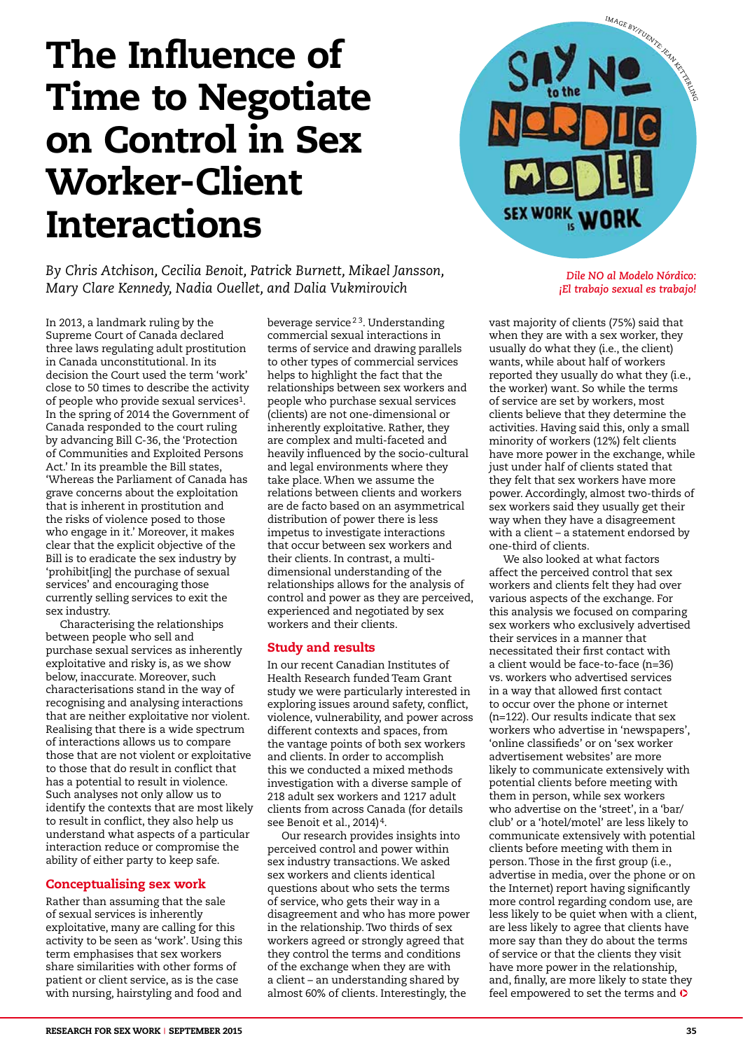# The Influence of Time to Negotiate on Control in Sex Worker-Client Interactions

*By Chris Atchison, Cecilia Benoit, Patrick Burnett, Mikael Jansson, Mary Clare Kennedy, Nadia Ouellet, and Dalia Vukmirovich*

In 2013, a landmark ruling by the Supreme Court of Canada declared three laws regulating adult prostitution in Canada unconstitutional. In its decision the Court used the term 'work' close to 50 times to describe the activity of people who provide sexual services1. In the spring of 2014 the Government of Canada responded to the court ruling by advancing Bill C-36, the 'Protection of Communities and Exploited Persons Act.' In its preamble the Bill states, 'Whereas the Parliament of Canada has grave concerns about the exploitation that is inherent in prostitution and the risks of violence posed to those who engage in it.' Moreover, it makes clear that the explicit objective of the Bill is to eradicate the sex industry by 'prohibit[ing] the purchase of sexual services' and encouraging those currently selling services to exit the sex industry.

Characterising the relationships between people who sell and purchase sexual services as inherently exploitative and risky is, as we show below, inaccurate. Moreover, such characterisations stand in the way of recognising and analysing interactions that are neither exploitative nor violent. Realising that there is a wide spectrum of interactions allows us to compare those that are not violent or exploitative to those that do result in conflict that has a potential to result in violence. Such analyses not only allow us to identify the contexts that are most likely to result in conflict, they also help us understand what aspects of a particular interaction reduce or compromise the ability of either party to keep safe.

# Conceptualising sex work

Rather than assuming that the sale of sexual services is inherently exploitative, many are calling for this activity to be seen as 'work'. Using this term emphasises that sex workers share similarities with other forms of patient or client service, as is the case with nursing, hairstyling and food and

beverage service<sup>23</sup>. Understanding commercial sexual interactions in terms of service and drawing parallels to other types of commercial services helps to highlight the fact that the relationships between sex workers and people who purchase sexual services (clients) are not one-dimensional or inherently exploitative. Rather, they are complex and multi-faceted and heavily influenced by the socio-cultural and legal environments where they take place. When we assume the relations between clients and workers are de facto based on an asymmetrical distribution of power there is less impetus to investigate interactions that occur between sex workers and their clients. In contrast, a multidimensional understanding of the relationships allows for the analysis of control and power as they are perceived, experienced and negotiated by sex workers and their clients.

# Study and results

In our recent Canadian Institutes of Health Research funded Team Grant study we were particularly interested in exploring issues around safety, conflict, violence, vulnerability, and power across different contexts and spaces, from the vantage points of both sex workers and clients. In order to accomplish this we conducted a mixed methods investigation with a diverse sample of 218 adult sex workers and 1217 adult clients from across Canada (for details see Benoit et al., 2014)<sup>4</sup>.

Our research provides insights into perceived control and power within sex industry transactions. We asked sex workers and clients identical questions about who sets the terms of service, who gets their way in a disagreement and who has more power in the relationship. Two thirds of sex workers agreed or strongly agreed that they control the terms and conditions of the exchange when they are with a client – an understanding shared by almost 60% of clients. Interestingly, the



*Dile NO al Modelo Nórdico: ¡El trabajo sexual es trabajo!*

vast majority of clients (75%) said that when they are with a sex worker, they usually do what they (i.e., the client) wants, while about half of workers reported they usually do what they (i.e., the worker) want. So while the terms of service are set by workers, most clients believe that they determine the activities. Having said this, only a small minority of workers (12%) felt clients have more power in the exchange, while just under half of clients stated that they felt that sex workers have more power. Accordingly, almost two-thirds of sex workers said they usually get their way when they have a disagreement with a client – a statement endorsed by one-third of clients.

We also looked at what factors affect the perceived control that sex workers and clients felt they had over various aspects of the exchange. For this analysis we focused on comparing sex workers who exclusively advertised their services in a manner that necessitated their first contact with a client would be face-to-face (n=36) vs. workers who advertised services in a way that allowed first contact to occur over the phone or internet (n=122). Our results indicate that sex workers who advertise in 'newspapers', 'online classifieds' or on 'sex worker advertisement websites' are more likely to communicate extensively with potential clients before meeting with them in person, while sex workers who advertise on the 'street', in a 'bar/ club' or a 'hotel/motel' are less likely to communicate extensively with potential clients before meeting with them in person. Those in the first group (i.e., advertise in media, over the phone or on the Internet) report having significantly more control regarding condom use, are less likely to be quiet when with a client, are less likely to agree that clients have more say than they do about the terms of service or that the clients they visit have more power in the relationship, and, finally, are more likely to state they feel empowered to set the terms and  $\bullet$